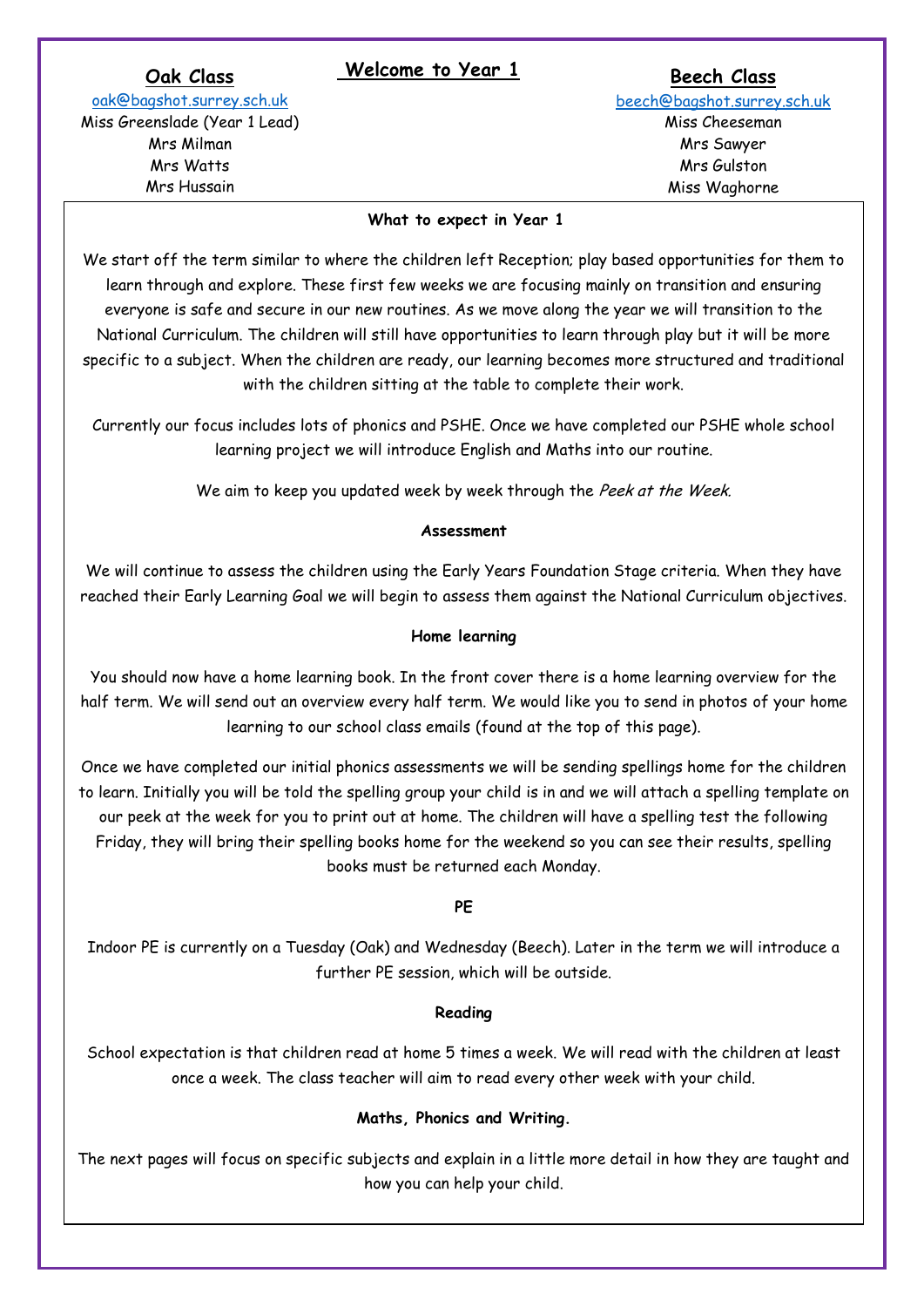# **Oak Welcome to Year 1 Class**

**Beech Class**

[oak@bagshot.surrey.sch.uk](mailto:oak@bagshot.surrey.sch.uk)  Miss Greenslade (Year 1 Lead) Mrs Milman Mrs Watts Mrs Hussain

[beech@bagshot.surrey.sch.uk](mailto:beech@bagshot.surrey.sch.uk) Miss Cheeseman Mrs Sawyer Mrs Gulston Miss Waghorne

#### **What to expect in Year 1**

We start off the term similar to where the children left Reception; play based opportunities for them to learn through and explore. These first few weeks we are focusing mainly on transition and ensuring everyone is safe and secure in our new routines. As we move along the year we will transition to the National Curriculum. The children will still have opportunities to learn through play but it will be more specific to a subject. When the children are ready, our learning becomes more structured and traditional with the children sitting at the table to complete their work.

Currently our focus includes lots of phonics and PSHE. Once we have completed our PSHE whole school learning project we will introduce English and Maths into our routine.

We aim to keep you updated week by week through the Peek at the Week.

#### **Assessment**

We will continue to assess the children using the Early Years Foundation Stage criteria. When they have reached their Early Learning Goal we will begin to assess them against the National Curriculum objectives.

#### **Home learning**

You should now have a home learning book. In the front cover there is a home learning overview for the half term. We will send out an overview every half term. We would like you to send in photos of your home learning to our school class emails (found at the top of this page).

Once we have completed our initial phonics assessments we will be sending spellings home for the children to learn. Initially you will be told the spelling group your child is in and we will attach a spelling template on our peek at the week for you to print out at home. The children will have a spelling test the following Friday, they will bring their spelling books home for the weekend so you can see their results, spelling books must be returned each Monday.

### **PE**

Indoor PE is currently on a Tuesday (Oak) and Wednesday (Beech). Later in the term we will introduce a further PE session, which will be outside.

### **Reading**

School expectation is that children read at home 5 times a week. We will read with the children at least once a week. The class teacher will aim to read every other week with your child.

### **Maths, Phonics and Writing.**

The next pages will focus on specific subjects and explain in a little more detail in how they are taught and how you can help your child.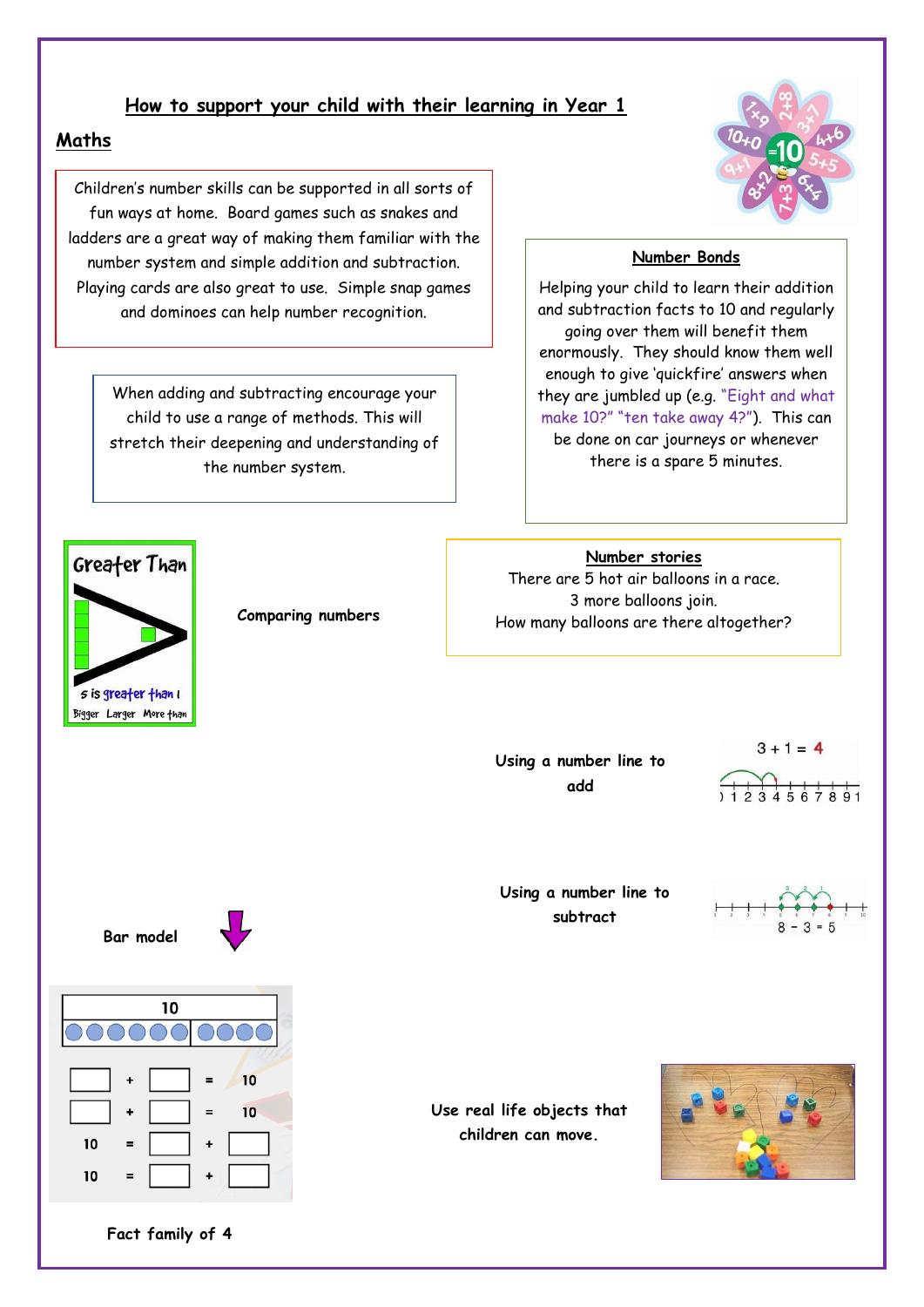## **How to support your child with their learning in Year 1**

## **Maths**

Children's number skills can be supported in all sorts of fun ways at home. Board games such as snakes and ladders are a great way of making them familiar with the number system and simple addition and subtraction. Playing cards are also great to use. Simple snap games and dominoes can help number recognition.

When adding and subtracting encourage your child to use a range of methods. This will stretch their deepening and understanding of the number system.



### **Number Bonds**

Helping your child to learn their addition and subtraction facts to 10 and regularly going over them will benefit them enormously. They should know them well enough to give 'quickfire' answers when they are jumbled up (e.g. "Eight and what make 10?" "ten take away 4?"). This can be done on car journeys or whenever there is a spare 5 minutes.

**Number stories**  There are 5 hot air balloons in a race.

3 more balloons join. How many balloons are there altogether?



**Comparing numbers** 

**Using a number line to add**

 $3 + 1 = 4$  $77777770.$ 

**Using a number line to subtract**



**Bar model**





**Use real life objects that children can move.**



**Fact family of 4**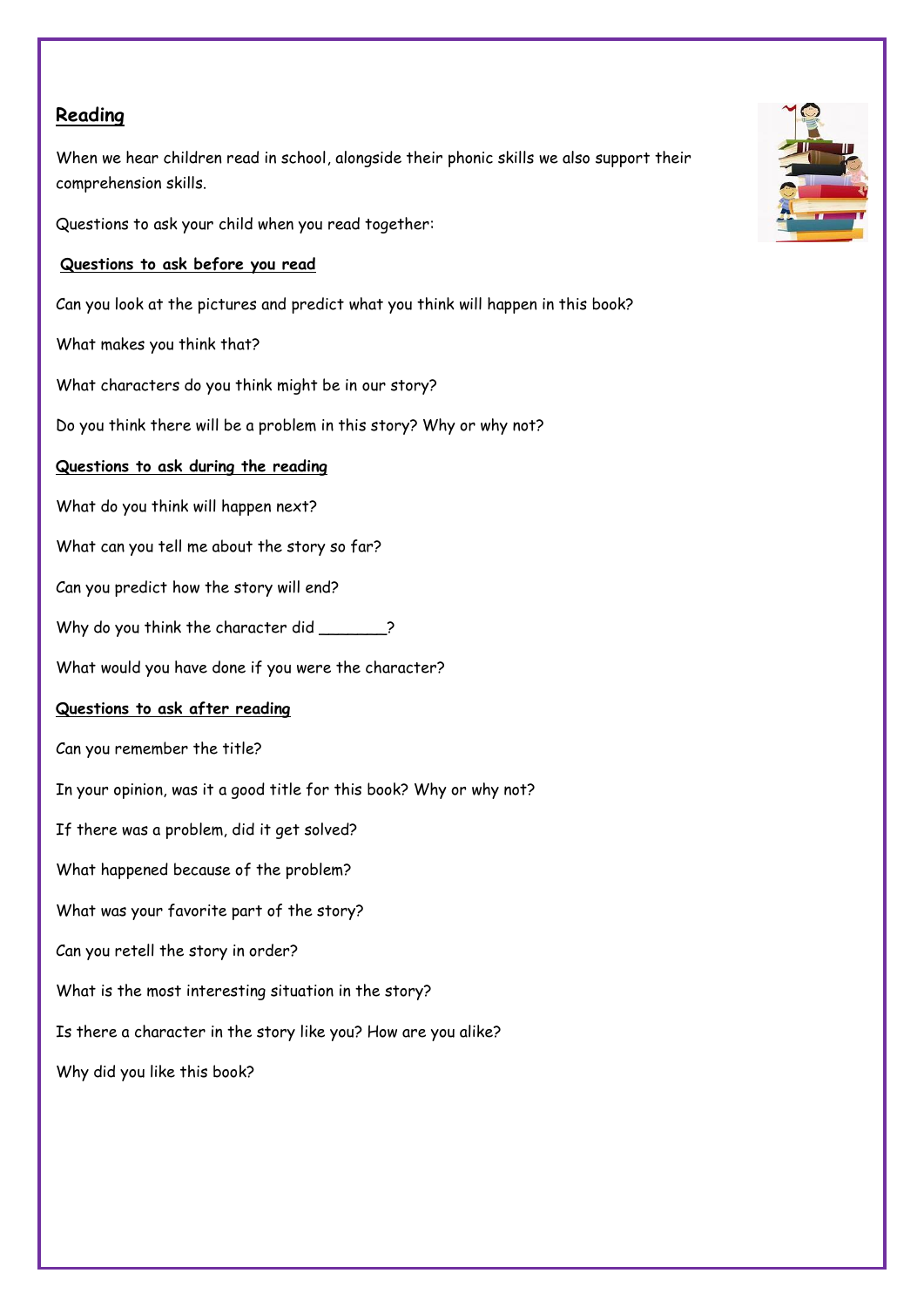## **Reading**

When we hear children read in school, alongside their phonic skills we also support their comprehension skills.

Questions to ask your child when you read together:

## **Questions to ask before you read**

Can you look at the pictures and predict what you think will happen in this book?

What makes you think that?

What characters do you think might be in our story?

Do you think there will be a problem in this story? Why or why not?

## **Questions to ask during the reading**

What do you think will happen next?

What can you tell me about the story so far?

Can you predict how the story will end?

Why do you think the character did \_\_\_\_\_\_?

What would you have done if you were the character?

## **Questions to ask after reading**

Can you remember the title?

In your opinion, was it a good title for this book? Why or why not?

If there was a problem, did it get solved?

What happened because of the problem?

What was your favorite part of the story?

Can you retell the story in order?

What is the most interesting situation in the story?

Is there a character in the story like you? How are you alike?

Why did you like this book?

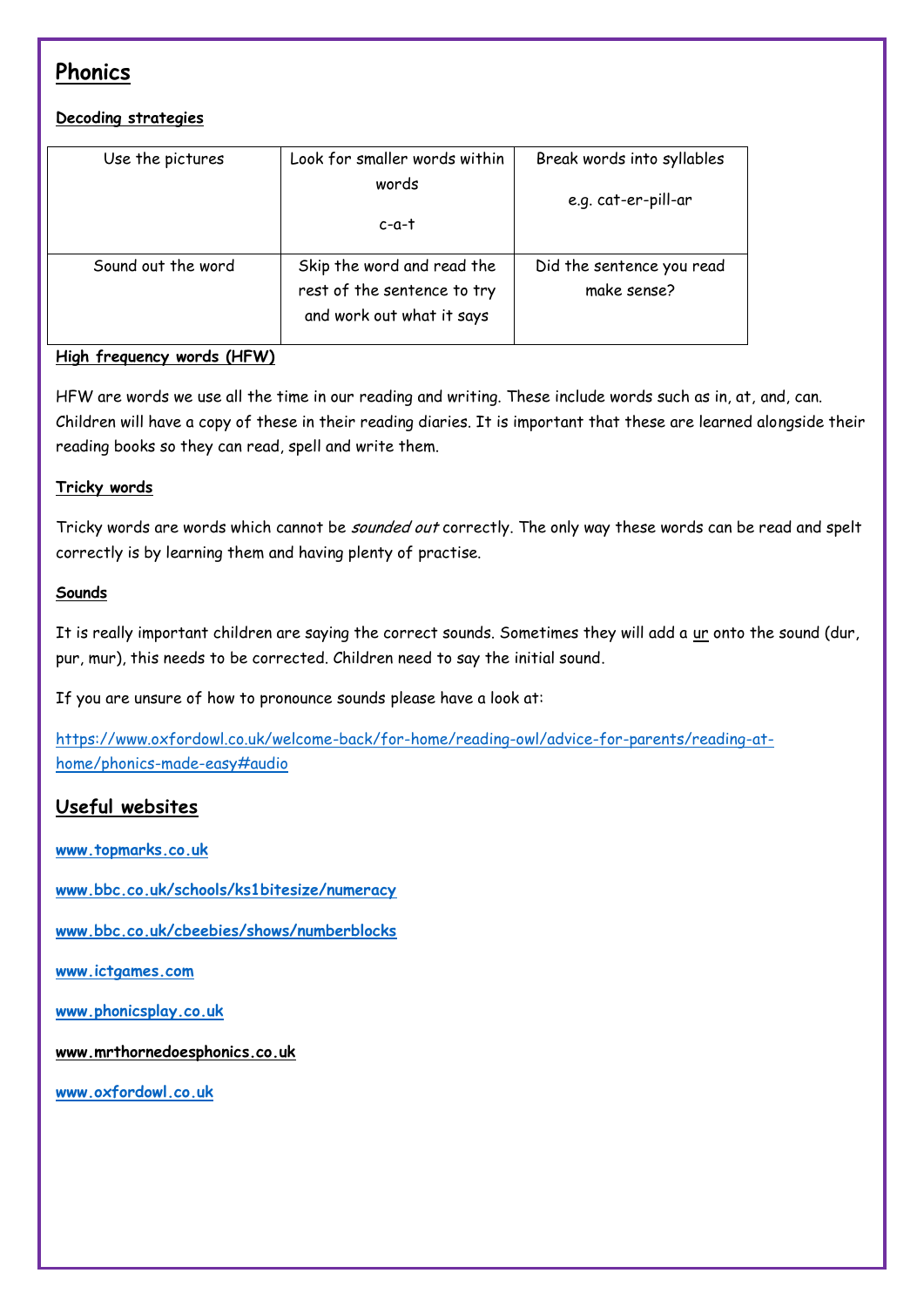# **Phonics**

## **Decoding strategies**

| Use the pictures   | Look for smaller words within                                                          | Break words into syllables               |
|--------------------|----------------------------------------------------------------------------------------|------------------------------------------|
|                    | words                                                                                  | e.g. cat-er-pill-ar                      |
|                    | c-a-t                                                                                  |                                          |
| Sound out the word | Skip the word and read the<br>rest of the sentence to try<br>and work out what it says | Did the sentence you read<br>make sense? |

## **High frequency words (HFW)**

HFW are words we use all the time in our reading and writing. These include words such as in, at, and, can. Children will have a copy of these in their reading diaries. It is important that these are learned alongside their reading books so they can read, spell and write them.

## **Tricky words**

Tricky words are words which cannot be sounded out correctly. The only way these words can be read and spelt correctly is by learning them and having plenty of practise.

## **Sounds**

It is really important children are saying the correct sounds. Sometimes they will add a ur onto the sound (dur, pur, mur), this needs to be corrected. Children need to say the initial sound.

If you are unsure of how to pronounce sounds please have a look at:

[https://www.oxfordowl.co.uk/welcome-back/for-home/reading-owl/advice-for-parents/reading-at](https://www.oxfordowl.co.uk/welcome-back/for-home/reading-owl/advice-for-parents/reading-at-home/phonics-made-easy#audio)[home/phonics-made-easy#audio](https://www.oxfordowl.co.uk/welcome-back/for-home/reading-owl/advice-for-parents/reading-at-home/phonics-made-easy#audio)

# **Useful websites**

**[www.topmarks.co.uk](http://www.topmarks.co.uk/)**

**[www.bbc.co.uk/schools/ks1bitesize/numeracy](http://www.bbc.co.uk/schools/ks1bitesize/numeracy)**

**[www.bbc.co.uk/cbeebies/shows/numberblocks](http://www.bbc.co.uk/cbeebies/shows/numberblocks)**

**[www.ictgames.com](http://www.ictgames.com/)**

**[www.phonicsplay.co.uk](http://www.phonicsplay.co.uk/)**

**www.mrthornedoesphonics.co.uk**

**[www.oxfordowl.co.uk](http://www.oxfordowl.co.uk/)**